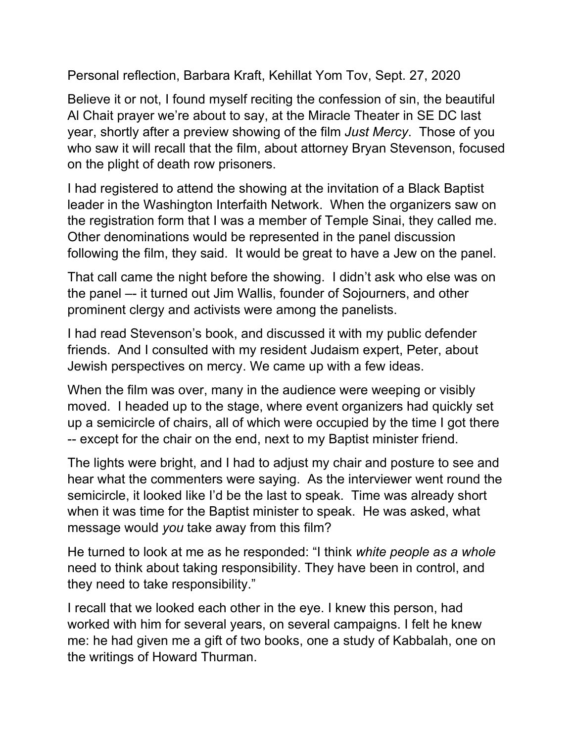Personal reflection, Barbara Kraft, Kehillat Yom Tov, Sept. 27, 2020

Believe it or not, I found myself reciting the confession of sin, the beautiful Al Chait prayer we're about to say, at the Miracle Theater in SE DC last year, shortly after a preview showing of the film *Just Mercy*. Those of you who saw it will recall that the film, about attorney Bryan Stevenson, focused on the plight of death row prisoners.

I had registered to attend the showing at the invitation of a Black Baptist leader in the Washington Interfaith Network. When the organizers saw on the registration form that I was a member of Temple Sinai, they called me. Other denominations would be represented in the panel discussion following the film, they said. It would be great to have a Jew on the panel.

That call came the night before the showing. I didn't ask who else was on the panel –- it turned out Jim Wallis, founder of Sojourners, and other prominent clergy and activists were among the panelists.

I had read Stevenson's book, and discussed it with my public defender friends. And I consulted with my resident Judaism expert, Peter, about Jewish perspectives on mercy. We came up with a few ideas.

When the film was over, many in the audience were weeping or visibly moved. I headed up to the stage, where event organizers had quickly set up a semicircle of chairs, all of which were occupied by the time I got there -- except for the chair on the end, next to my Baptist minister friend.

The lights were bright, and I had to adjust my chair and posture to see and hear what the commenters were saying. As the interviewer went round the semicircle, it looked like I'd be the last to speak. Time was already short when it was time for the Baptist minister to speak. He was asked, what message would *you* take away from this film?

He turned to look at me as he responded: "I think *white people as a whole* need to think about taking responsibility. They have been in control, and they need to take responsibility."

I recall that we looked each other in the eye. I knew this person, had worked with him for several years, on several campaigns. I felt he knew me: he had given me a gift of two books, one a study of Kabbalah, one on the writings of Howard Thurman.